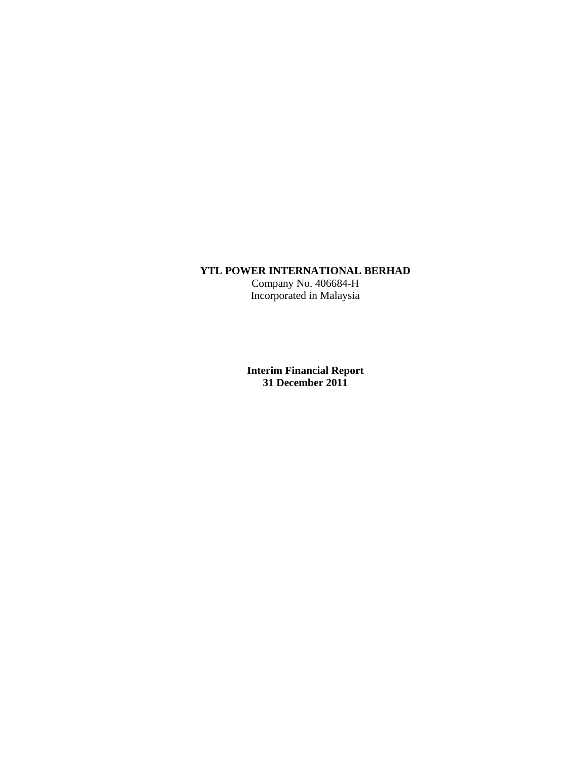# **YTL POWER INTERNATIONAL BERHAD**

Company No. 406684-H Incorporated in Malaysia

**Interim Financial Report 31 December 2011**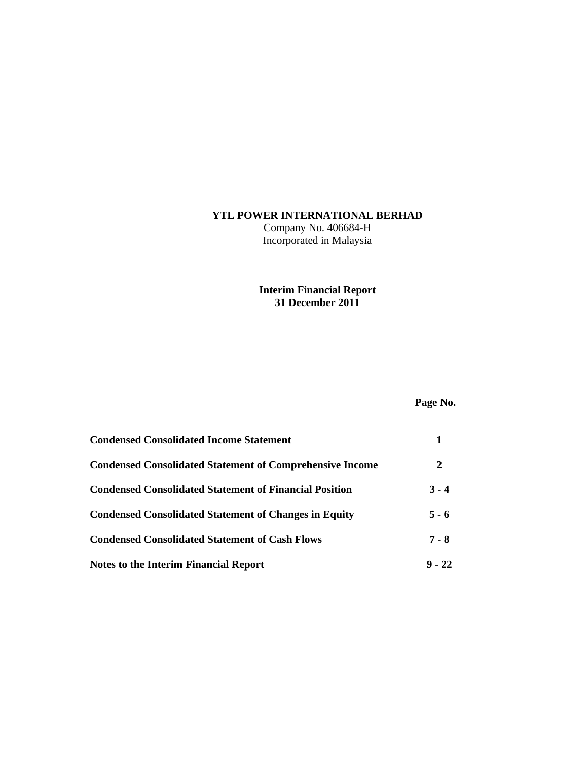# **YTL POWER INTERNATIONAL BERHAD**

Company No. 406684-H Incorporated in Malaysia

# **Interim Financial Report 31 December 2011**

# **Page No.**

| <b>Condensed Consolidated Income Statement</b>                  |          |
|-----------------------------------------------------------------|----------|
| <b>Condensed Consolidated Statement of Comprehensive Income</b> | 2        |
| <b>Condensed Consolidated Statement of Financial Position</b>   | $3 - 4$  |
| <b>Condensed Consolidated Statement of Changes in Equity</b>    | $5 - 6$  |
| <b>Condensed Consolidated Statement of Cash Flows</b>           | $7 - 8$  |
| <b>Notes to the Interim Financial Report</b>                    | $9 - 22$ |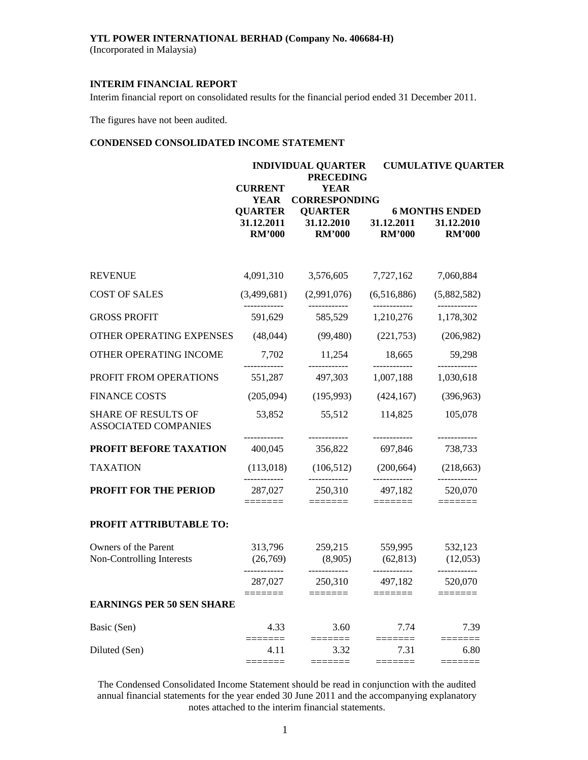(Incorporated in Malaysia)

# **INTERIM FINANCIAL REPORT**

Interim financial report on consolidated results for the financial period ended 31 December 2011.

The figures have not been audited.

# **CONDENSED CONSOLIDATED INCOME STATEMENT**

|                                                           |                                               | <b>INDIVIDUAL QUARTER</b><br><b>PRECEDING</b> |                             | <b>CUMULATIVE QUARTER</b>                            |  |  |
|-----------------------------------------------------------|-----------------------------------------------|-----------------------------------------------|-----------------------------|------------------------------------------------------|--|--|
|                                                           | <b>CURRENT</b><br><b>YEAR</b>                 | <b>YEAR</b><br><b>CORRESPONDING</b>           |                             |                                                      |  |  |
|                                                           | <b>QUARTER</b><br>31.12.2011<br><b>RM'000</b> | <b>QUARTER</b><br>31.12.2010<br><b>RM'000</b> | 31.12.2011<br><b>RM'000</b> | <b>6 MONTHS ENDED</b><br>31.12.2010<br><b>RM'000</b> |  |  |
| <b>REVENUE</b>                                            | 4,091,310                                     | 3,576,605                                     | 7,727,162                   | 7,060,884                                            |  |  |
| <b>COST OF SALES</b>                                      | (3,499,681)                                   | (2,991,076)                                   | (6,516,886)                 | (5,882,582)                                          |  |  |
| <b>GROSS PROFIT</b>                                       | 591,629                                       | 585,529                                       | 1,210,276                   | 1,178,302                                            |  |  |
| OTHER OPERATING EXPENSES                                  | (48,044)                                      | (99, 480)                                     | (221,753)                   | (206,982)                                            |  |  |
| OTHER OPERATING INCOME                                    | 7,702                                         | 11,254                                        | 18,665                      | 59,298                                               |  |  |
| PROFIT FROM OPERATIONS                                    | 551,287                                       | 497,303                                       | 1,007,188                   | 1,030,618                                            |  |  |
| <b>FINANCE COSTS</b>                                      | (205,094)                                     | (195,993)                                     | (424, 167)                  | (396,963)                                            |  |  |
| <b>SHARE OF RESULTS OF</b><br><b>ASSOCIATED COMPANIES</b> | 53,852                                        | 55,512                                        | 114,825                     | 105,078                                              |  |  |
| PROFIT BEFORE TAXATION                                    | .<br>400,045                                  | ------------<br>356,822                       | ------------<br>697,846     | ------------<br>738,733                              |  |  |
| <b>TAXATION</b>                                           | (113,018)                                     |                                               | $(106,512)$ $(200,664)$     | (218, 663)                                           |  |  |
| <b>PROFIT FOR THE PERIOD</b>                              | 287,027                                       | 250,310                                       | 497,182                     | 520,070                                              |  |  |
| PROFIT ATTRIBUTABLE TO:                                   |                                               |                                               |                             |                                                      |  |  |
| Owners of the Parent<br>Non-Controlling Interests         | 313,796<br>(26,769)                           | 259,215<br>(8,905)                            | 559,995<br>(62, 813)        | 532,123<br>(12,053)                                  |  |  |
|                                                           | 287,027                                       | 250,310                                       | 497,182                     | 520,070                                              |  |  |
| <b>EARNINGS PER 50 SEN SHARE</b>                          |                                               |                                               |                             |                                                      |  |  |
| Basic (Sen)                                               | 4.33                                          | 3.60                                          | 7.74                        | 7.39                                                 |  |  |
| Diluted (Sen)                                             | 4.11                                          | 3.32                                          | 7.31                        | 6.80                                                 |  |  |
|                                                           |                                               |                                               |                             |                                                      |  |  |

The Condensed Consolidated Income Statement should be read in conjunction with the audited annual financial statements for the year ended 30 June 2011 and the accompanying explanatory notes attached to the interim financial statements.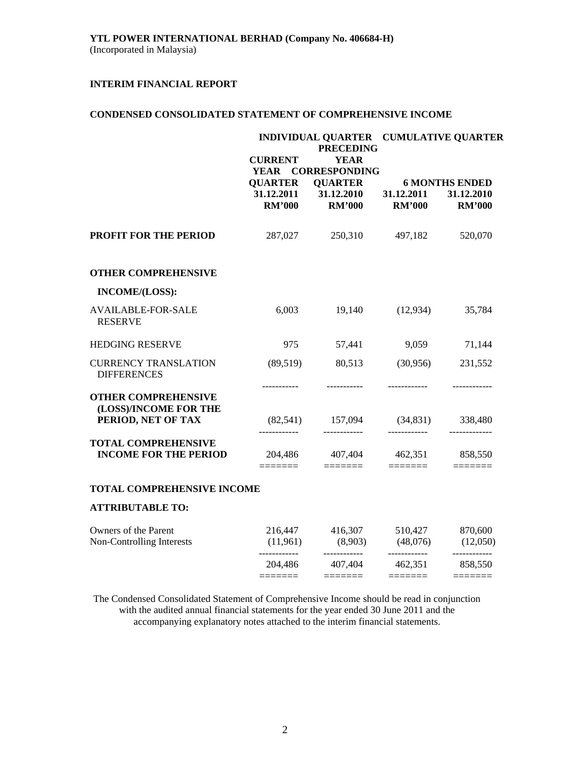# **CONDENSED CONSOLIDATED STATEMENT OF COMPREHENSIVE INCOME**

|                                                            |                              | <b>PRECEDING</b>                                               | INDIVIDUAL QUARTER CUMULATIVE QUARTER |                                                    |  |  |
|------------------------------------------------------------|------------------------------|----------------------------------------------------------------|---------------------------------------|----------------------------------------------------|--|--|
|                                                            | <b>CURRENT</b>               | <b>YEAR</b><br>YEAR CORRESPONDING                              |                                       |                                                    |  |  |
|                                                            | <b>QUARTER</b><br>31.12.2011 | <b>QUARTER</b><br>31.12.2010                                   | 31.12.2011                            | <b>6 MONTHS ENDED</b><br>31.12.2010                |  |  |
|                                                            | <b>RM'000</b>                | <b>RM'000</b>                                                  | <b>RM'000</b>                         | <b>RM'000</b>                                      |  |  |
| <b>PROFIT FOR THE PERIOD</b>                               |                              | 287,027 250,310                                                | 497,182                               | 520,070                                            |  |  |
| <b>OTHER COMPREHENSIVE</b>                                 |                              |                                                                |                                       |                                                    |  |  |
| INCOME/(LOSS):                                             |                              |                                                                |                                       |                                                    |  |  |
| <b>AVAILABLE-FOR-SALE</b><br><b>RESERVE</b>                | 6,003                        | 19,140                                                         | (12, 934)                             | 35,784                                             |  |  |
| <b>HEDGING RESERVE</b>                                     | 975                          | 57,441                                                         | 9,059                                 | 71,144                                             |  |  |
| <b>CURRENCY TRANSLATION</b><br><b>DIFFERENCES</b>          | (89, 519)                    | 80,513                                                         | (30,956)                              | 231,552                                            |  |  |
| <b>OTHER COMPREHENSIVE</b>                                 |                              |                                                                |                                       |                                                    |  |  |
| (LOSS)/INCOME FOR THE<br>PERIOD, NET OF TAX                |                              | $(82,541)$ 157,094 $(34,831)$ 338,480                          |                                       |                                                    |  |  |
| <b>TOTAL COMPREHENSIVE</b><br><b>INCOME FOR THE PERIOD</b> | $=$ $=$ $=$ $=$ $=$ $=$      | 204,486 407,404 462,351 858,550<br>$=$ $=$ $=$ $=$ $=$ $=$ $=$ |                                       | $\equiv \equiv \equiv \equiv \equiv \equiv \equiv$ |  |  |
| <b>TOTAL COMPREHENSIVE INCOME</b>                          |                              |                                                                |                                       |                                                    |  |  |
| <b>ATTRIBUTABLE TO:</b>                                    |                              |                                                                |                                       |                                                    |  |  |
| Owners of the Parent                                       |                              | 216,447 416,307 510,427 870,600                                |                                       |                                                    |  |  |
| Non-Controlling Interests                                  |                              | $(11,961)$ $(8,903)$ $(48,076)$ $(12,050)$                     |                                       |                                                    |  |  |

The Condensed Consolidated Statement of Comprehensive Income should be read in conjunction with the audited annual financial statements for the year ended 30 June 2011 and the accompanying explanatory notes attached to the interim financial statements.

 204,486 407,404 462,351 858,550 ======= ======= ======= =======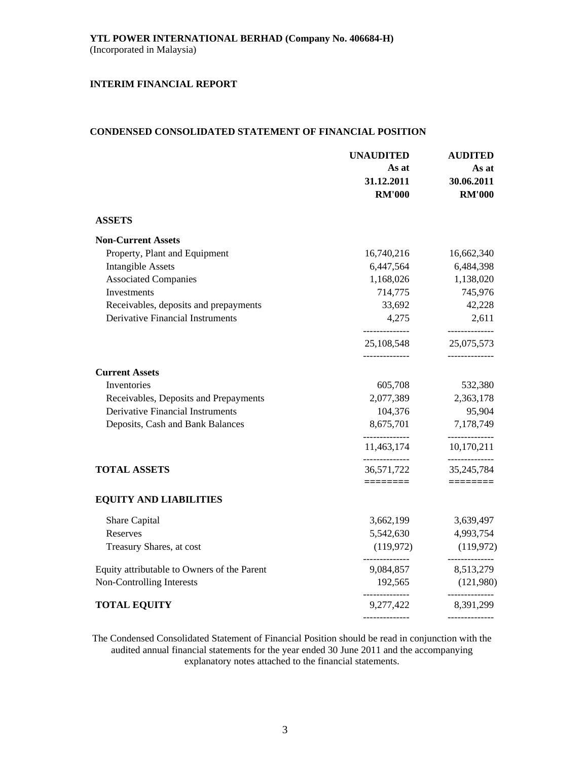# **CONDENSED CONSOLIDATED STATEMENT OF FINANCIAL POSITION**

|                                             | <b>UNAUDITED</b><br>As at    | <b>AUDITED</b><br>As at         |
|---------------------------------------------|------------------------------|---------------------------------|
|                                             | 31.12.2011<br><b>RM'000</b>  | 30.06.2011<br><b>RM'000</b>     |
| <b>ASSETS</b>                               |                              |                                 |
| <b>Non-Current Assets</b>                   |                              |                                 |
| Property, Plant and Equipment               | 16,740,216                   | 16,662,340                      |
| <b>Intangible Assets</b>                    | 6,447,564                    | 6,484,398                       |
| <b>Associated Companies</b>                 | 1,168,026                    | 1,138,020                       |
| Investments                                 | 714,775                      | 745,976                         |
| Receivables, deposits and prepayments       | 33,692                       | 42,228                          |
| <b>Derivative Financial Instruments</b>     | 4,275<br>--------------      | 2,611<br>--------------         |
|                                             | 25,108,548                   | 25,075,573                      |
| <b>Current Assets</b>                       |                              |                                 |
| Inventories                                 | 605,708                      | 532,380                         |
| Receivables, Deposits and Prepayments       | 2,077,389                    | 2,363,178                       |
| <b>Derivative Financial Instruments</b>     | 104,376                      | 95,904                          |
| Deposits, Cash and Bank Balances            | 8,675,701                    | 7,178,749                       |
|                                             | --------------<br>11,463,174 | ------------<br>10,170,211      |
| <b>TOTAL ASSETS</b>                         | --------------<br>36,571,722 | ---------------<br>35, 245, 784 |
|                                             | ========                     |                                 |
| <b>EQUITY AND LIABILITIES</b>               |                              |                                 |
| Share Capital                               | 3,662,199                    | 3,639,497                       |
| Reserves                                    | 5,542,630                    | 4,993,754                       |
| Treasury Shares, at cost                    | (119,972)                    | (119, 972)                      |
| Equity attributable to Owners of the Parent | 9,084,857                    | --------------<br>8,513,279     |
| Non-Controlling Interests                   | 192,565                      | (121,980)                       |
| <b>TOTAL EQUITY</b>                         | ______________<br>9,277,422  | -------------<br>8,391,299      |
|                                             |                              | --------------                  |

The Condensed Consolidated Statement of Financial Position should be read in conjunction with the audited annual financial statements for the year ended 30 June 2011 and the accompanying explanatory notes attached to the financial statements.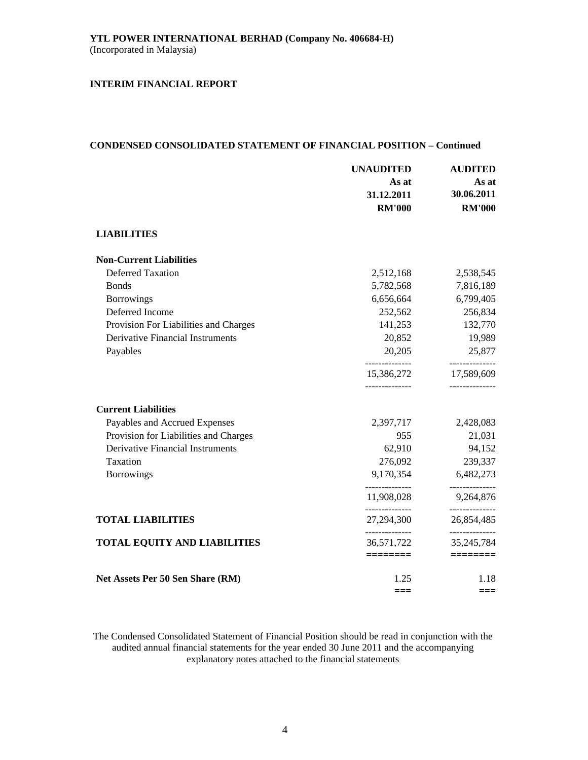### **CONDENSED CONSOLIDATED STATEMENT OF FINANCIAL POSITION – Continued**

|                                         | <b>UNAUDITED</b>                              | <b>AUDITED</b>                             |  |
|-----------------------------------------|-----------------------------------------------|--------------------------------------------|--|
|                                         | As at                                         | As at                                      |  |
|                                         | 31.12.2011                                    | 30.06.2011                                 |  |
|                                         | <b>RM'000</b>                                 | <b>RM'000</b>                              |  |
| <b>LIABILITIES</b>                      |                                               |                                            |  |
| <b>Non-Current Liabilities</b>          |                                               |                                            |  |
| <b>Deferred Taxation</b>                | 2,512,168                                     | 2,538,545                                  |  |
| <b>Bonds</b>                            | 5,782,568                                     | 7,816,189                                  |  |
| <b>Borrowings</b>                       | 6,656,664                                     | 6,799,405                                  |  |
| Deferred Income                         | 252,562                                       | 256,834                                    |  |
| Provision For Liabilities and Charges   | 141,253                                       | 132,770                                    |  |
| <b>Derivative Financial Instruments</b> | 20,852                                        | 19,989                                     |  |
| Payables                                | 20,205                                        | 25,877                                     |  |
|                                         | --------------<br>15,386,272<br>------------- | ------------<br>17,589,609<br>------------ |  |
| <b>Current Liabilities</b>              |                                               |                                            |  |
| Payables and Accrued Expenses           | 2,397,717                                     | 2,428,083                                  |  |
| Provision for Liabilities and Charges   | 955                                           | 21,031                                     |  |
| <b>Derivative Financial Instruments</b> | 62,910                                        | 94,152                                     |  |
| Taxation                                | 276,092                                       | 239,337                                    |  |
| <b>Borrowings</b>                       | 9,170,354                                     | 6,482,273                                  |  |
|                                         | 11,908,028                                    | 9,264,876                                  |  |
| <b>TOTAL LIABILITIES</b>                | --------------<br>27,294,300                  | ------------<br>26,854,485                 |  |
| <b>TOTAL EQUITY AND LIABILITIES</b>     | --------------<br>36,571,722                  | --------------<br>35, 245, 784             |  |
|                                         | ========                                      | ========                                   |  |
| Net Assets Per 50 Sen Share (RM)        | 1.25                                          | 1.18                                       |  |
|                                         | $===$                                         | ===                                        |  |

The Condensed Consolidated Statement of Financial Position should be read in conjunction with the audited annual financial statements for the year ended 30 June 2011 and the accompanying explanatory notes attached to the financial statements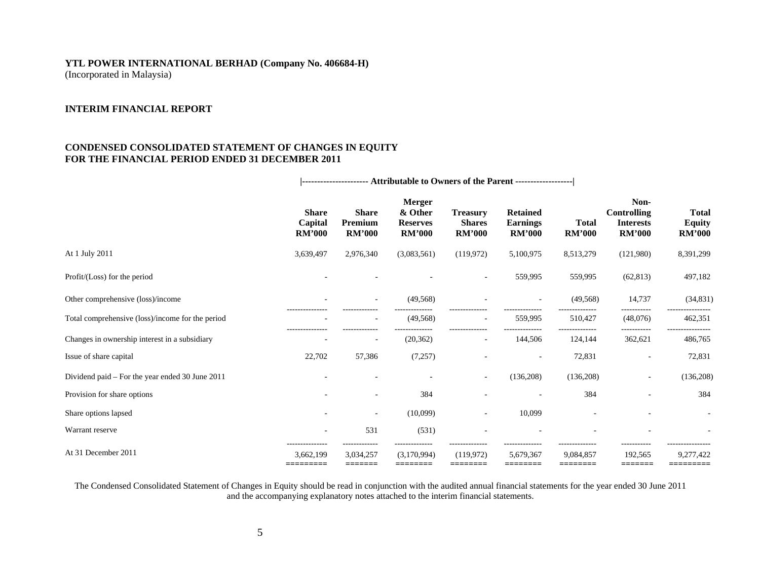(Incorporated in Malaysia)

# **INTERIM FINANCIAL REPORT**

# **CONDENSED CONSOLIDATED STATEMENT OF CHANGES IN EQUITY FOR THE FINANCIAL PERIOD ENDED 31 DECEMBER 2011**

|                                                  | <b>Share</b><br>Capital<br><b>RM'000</b>  | <b>Share</b><br>Premium<br><b>RM'000</b> | <b>Merger</b><br>& Other<br><b>Reserves</b><br><b>RM'000</b> | <b>Treasury</b><br><b>Shares</b><br><b>RM'000</b> | <b>Retained</b><br><b>Earnings</b><br><b>RM'000</b> | <b>Total</b><br><b>RM'000</b> | Non-<br><b>Controlling</b><br><b>Interests</b><br><b>RM'000</b> | <b>Total</b><br><b>Equity</b><br><b>RM'000</b> |
|--------------------------------------------------|-------------------------------------------|------------------------------------------|--------------------------------------------------------------|---------------------------------------------------|-----------------------------------------------------|-------------------------------|-----------------------------------------------------------------|------------------------------------------------|
| At 1 July 2011                                   | 3,639,497                                 | 2,976,340                                | (3,083,561)                                                  | (119, 972)                                        | 5,100,975                                           | 8,513,279                     | (121,980)                                                       | 8,391,299                                      |
| Profit/(Loss) for the period                     |                                           |                                          |                                                              | $\sim$                                            | 559,995                                             | 559,995                       | (62, 813)                                                       | 497,182                                        |
| Other comprehensive (loss)/income                |                                           |                                          | (49, 568)                                                    |                                                   |                                                     | (49, 568)                     | 14,737                                                          | (34,831)                                       |
| Total comprehensive (loss)/income for the period |                                           | $\overline{\phantom{a}}$                 | (49, 568)                                                    | $\overline{\phantom{a}}$                          | 559,995                                             | 510,427                       | (48,076)                                                        | 462,351                                        |
| Changes in ownership interest in a subsidiary    |                                           |                                          | (20, 362)                                                    | $\overline{\phantom{a}}$                          | 144,506                                             | 124,144                       | 362,621                                                         | 486,765                                        |
| Issue of share capital                           | 22,702                                    | 57,386                                   | (7,257)                                                      |                                                   |                                                     | 72,831                        |                                                                 | 72,831                                         |
| Dividend paid – For the year ended 30 June 2011  |                                           |                                          |                                                              | $\overline{\phantom{a}}$                          | (136,208)                                           | (136,208)                     | $\overline{\phantom{a}}$                                        | (136,208)                                      |
| Provision for share options                      |                                           |                                          | 384                                                          |                                                   |                                                     | 384                           |                                                                 | 384                                            |
| Share options lapsed                             |                                           | ٠                                        | (10,099)                                                     | $\overline{\phantom{a}}$                          | 10,099                                              |                               |                                                                 |                                                |
| Warrant reserve                                  |                                           | 531                                      | (531)                                                        |                                                   |                                                     |                               |                                                                 |                                                |
| At 31 December 2011                              | ---------------<br>3,662,199<br>========= | 3,034,257<br>=======                     | (3,170,994)<br>========                                      | (119, 972)<br>========                            | 5,679,367<br>========                               | 9,084,857<br>========         | 192,565<br>=======                                              | 9,277,422<br>=========                         |

 **|---------------------- Attributable to Owners of the Parent -------------------|** 

The Condensed Consolidated Statement of Changes in Equity should be read in conjunction with the audited annual financial statements for the year ended 30 June 2011 and the accompanying explanatory notes attached to the interim financial statements.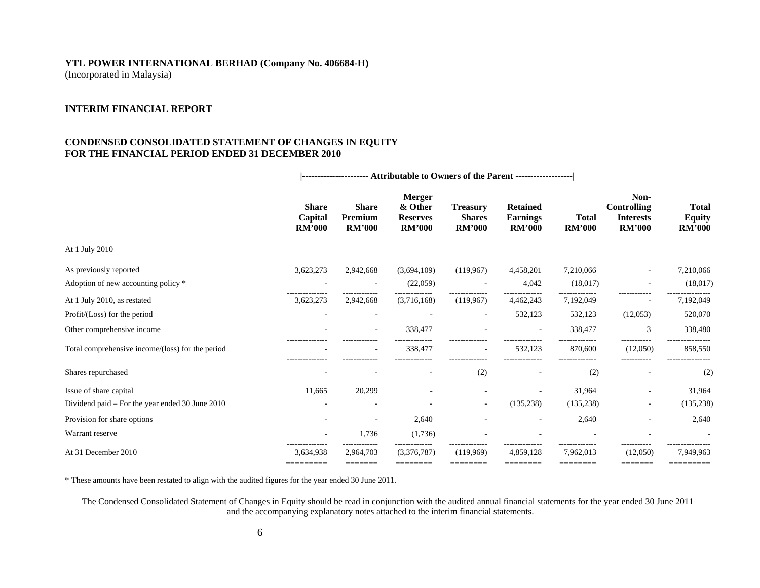(Incorporated in Malaysia)

# **INTERIM FINANCIAL REPORT**

# **CONDENSED CONSOLIDATED STATEMENT OF CHANGES IN EQUITY FOR THE FINANCIAL PERIOD ENDED 31 DECEMBER 2010**

|                                                  | <b>Share</b><br>Capital<br><b>RM'000</b> | <b>Share</b><br>Premium<br><b>RM'000</b> | <b>Merger</b><br>& Other<br><b>Reserves</b><br><b>RM'000</b> | <b>Treasury</b><br><b>Shares</b><br><b>RM'000</b> | <b>Retained</b><br><b>Earnings</b><br><b>RM'000</b> | <b>Total</b><br><b>RM'000</b> | Non-<br><b>Controlling</b><br><b>Interests</b><br><b>RM'000</b> | <b>Total</b><br><b>Equity</b><br><b>RM'000</b> |
|--------------------------------------------------|------------------------------------------|------------------------------------------|--------------------------------------------------------------|---------------------------------------------------|-----------------------------------------------------|-------------------------------|-----------------------------------------------------------------|------------------------------------------------|
| At 1 July 2010                                   |                                          |                                          |                                                              |                                                   |                                                     |                               |                                                                 |                                                |
| As previously reported                           | 3,623,273                                | 2,942,668                                | (3,694,109)                                                  | (119, 967)                                        | 4,458,201                                           | 7,210,066                     |                                                                 | 7,210,066                                      |
| Adoption of new accounting policy *              |                                          |                                          | (22,059)                                                     |                                                   | 4,042                                               | (18,017)                      |                                                                 | (18,017)                                       |
| At 1 July 2010, as restated                      | 3,623,273                                | 2,942,668                                | (3,716,168)                                                  | (119,967)                                         | 4,462,243                                           | 7,192,049                     |                                                                 | 7,192,049                                      |
| Profit/(Loss) for the period                     |                                          |                                          |                                                              |                                                   | 532,123                                             | 532,123                       | (12,053)                                                        | 520,070                                        |
| Other comprehensive income                       |                                          |                                          | 338,477                                                      |                                                   |                                                     | 338,477                       | 3                                                               | 338,480                                        |
| Total comprehensive income/(loss) for the period | ---------------                          |                                          | 338,477                                                      | $\overline{\phantom{a}}$                          | 532,123                                             | 870,600                       | (12,050)                                                        | 858,550                                        |
| Shares repurchased                               |                                          |                                          |                                                              | (2)                                               |                                                     | (2)                           |                                                                 | (2)                                            |
| Issue of share capital                           | 11,665                                   | 20,299                                   |                                                              |                                                   |                                                     | 31,964                        |                                                                 | 31,964                                         |
| Dividend paid – For the year ended 30 June 2010  |                                          |                                          |                                                              | ٠                                                 | (135, 238)                                          | (135, 238)                    | ٠                                                               | (135, 238)                                     |
| Provision for share options                      |                                          |                                          | 2,640                                                        |                                                   |                                                     | 2,640                         | ٠                                                               | 2,640                                          |
| Warrant reserve                                  |                                          | 1,736                                    | (1,736)                                                      |                                                   |                                                     |                               |                                                                 |                                                |
| At 31 December 2010                              | 3,634,938<br>=========                   | 2,964,703<br>=======                     | (3,376,787)<br>2222222                                       | (119,969)<br>========                             | 4,859,128<br>========                               | 7,962,013<br>========         | (12,050)<br>=======                                             | 7,949,963<br>=========                         |

**|---------------------- Attributable to Owners of the Parent -------------------|**

\* These amounts have been restated to align with the audited figures for the year ended 30 June 2011.

 The Condensed Consolidated Statement of Changes in Equity should be read in conjunction with the audited annual financial statements for the year ended 30 June 2011 and the accompanying explanatory notes attached to the interim financial statements.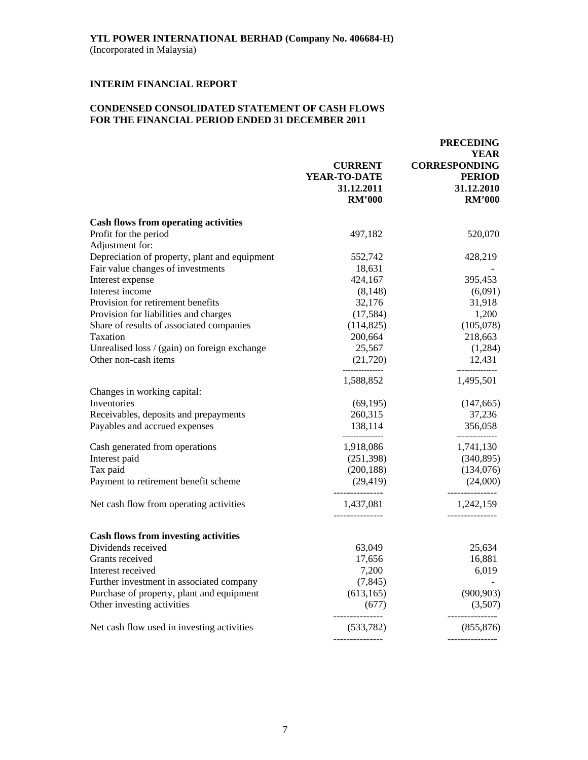# **CONDENSED CONSOLIDATED STATEMENT OF CASH FLOWS FOR THE FINANCIAL PERIOD ENDED 31 DECEMBER 2011**

|                                               |                                                               | <b>PRECEDING</b><br><b>YEAR</b>                                      |
|-----------------------------------------------|---------------------------------------------------------------|----------------------------------------------------------------------|
|                                               | <b>CURRENT</b><br>YEAR-TO-DATE<br>31.12.2011<br><b>RM'000</b> | <b>CORRESPONDING</b><br><b>PERIOD</b><br>31.12.2010<br><b>RM'000</b> |
| <b>Cash flows from operating activities</b>   |                                                               |                                                                      |
| Profit for the period                         | 497,182                                                       | 520,070                                                              |
| Adjustment for:                               |                                                               |                                                                      |
| Depreciation of property, plant and equipment | 552,742                                                       | 428,219                                                              |
| Fair value changes of investments             | 18,631                                                        |                                                                      |
| Interest expense                              | 424,167                                                       | 395,453                                                              |
| Interest income                               | (8, 148)                                                      | (6,091)                                                              |
| Provision for retirement benefits             | 32,176                                                        | 31,918                                                               |
| Provision for liabilities and charges         | (17,584)                                                      | 1,200                                                                |
| Share of results of associated companies      | (114, 825)                                                    | (105,078)                                                            |
| Taxation                                      | 200,664                                                       | 218,663                                                              |
| Unrealised loss / (gain) on foreign exchange  | 25,567                                                        | (1,284)                                                              |
| Other non-cash items                          | (21, 720)                                                     | 12,431                                                               |
|                                               | 1,588,852                                                     | 1,495,501                                                            |
| Changes in working capital:                   |                                                               |                                                                      |
| Inventories                                   | (69, 195)                                                     | (147, 665)                                                           |
| Receivables, deposits and prepayments         | 260,315                                                       | 37,236                                                               |
| Payables and accrued expenses                 | 138,114                                                       | 356,058<br>--------------                                            |
| Cash generated from operations                | 1,918,086                                                     | 1,741,130                                                            |
| Interest paid                                 | (251,398)                                                     | (340, 895)                                                           |
| Tax paid                                      | (200, 188)                                                    | (134,076)                                                            |
| Payment to retirement benefit scheme          | (29, 419)                                                     | (24,000)                                                             |
| Net cash flow from operating activities       | 1,437,081                                                     | ------------<br>1,242,159                                            |
| <b>Cash flows from investing activities</b>   |                                                               |                                                                      |
| Dividends received                            | 63,049                                                        | 25,634                                                               |
| Grants received                               | 17,656                                                        | 16,881                                                               |
| Interest received                             | 7,200                                                         | 6,019                                                                |
| Further investment in associated company      | (7, 845)                                                      |                                                                      |
| Purchase of property, plant and equipment     | (613, 165)                                                    | (900, 903)                                                           |
| Other investing activities                    | (677)                                                         | (3,507)                                                              |
| Net cash flow used in investing activities    | (533, 782)                                                    | -----------<br>(855, 876)                                            |
|                                               |                                                               |                                                                      |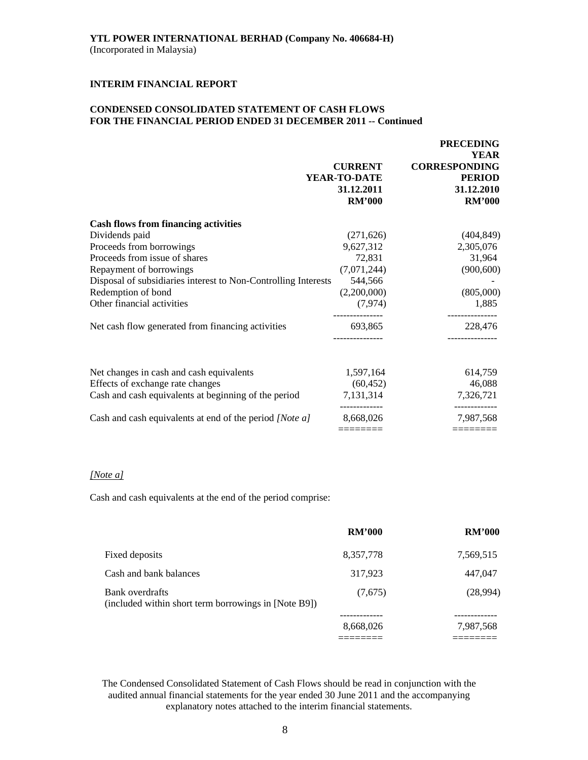# **CONDENSED CONSOLIDATED STATEMENT OF CASH FLOWS FOR THE FINANCIAL PERIOD ENDED 31 DECEMBER 2011 -- Continued**

|                                                                | <b>CURRENT</b><br>YEAR-TO-DATE<br>31.12.2011<br><b>RM'000</b> | <b>FRECEDING</b><br><b>YEAR</b><br><b>CORRESPONDING</b><br><b>PERIOD</b><br>31.12.2010<br><b>RM'000</b> |
|----------------------------------------------------------------|---------------------------------------------------------------|---------------------------------------------------------------------------------------------------------|
| <b>Cash flows from financing activities</b>                    |                                                               |                                                                                                         |
| Dividends paid                                                 | (271, 626)                                                    | (404, 849)                                                                                              |
| Proceeds from borrowings                                       | 9,627,312                                                     | 2,305,076                                                                                               |
| Proceeds from issue of shares                                  | 72,831                                                        | 31,964                                                                                                  |
| Repayment of borrowings                                        | (7,071,244)                                                   | (900, 600)                                                                                              |
| Disposal of subsidiaries interest to Non-Controlling Interests | 544,566                                                       |                                                                                                         |
| Redemption of bond                                             | (2,200,000)                                                   | (805,000)                                                                                               |
| Other financial activities                                     | (7, 974)                                                      | 1,885                                                                                                   |
| Net cash flow generated from financing activities              | 693,865                                                       | 228,476                                                                                                 |
| Net changes in cash and cash equivalents                       | 1,597,164                                                     | 614,759                                                                                                 |
| Effects of exchange rate changes                               | (60, 452)                                                     | 46,088                                                                                                  |
| Cash and cash equivalents at beginning of the period           | 7,131,314                                                     | 7,326,721                                                                                               |
| Cash and cash equivalents at end of the period [Note a]        | 8,668,026                                                     | 7,987,568                                                                                               |
|                                                                | ======                                                        | -------                                                                                                 |

 **PRECEDING** 

# *[Note a]*

Cash and cash equivalents at the end of the period comprise:

|                                                                         | <b>RM'000</b> | <b>RM'000</b> |
|-------------------------------------------------------------------------|---------------|---------------|
| Fixed deposits                                                          | 8,357,778     | 7,569,515     |
| Cash and bank balances                                                  | 317,923       | 447,047       |
| Bank overdrafts<br>(included within short term borrowings in [Note B9]) | (7,675)       | (28,994)      |
|                                                                         | 8,668,026     | 7,987,568     |
|                                                                         |               |               |

The Condensed Consolidated Statement of Cash Flows should be read in conjunction with the audited annual financial statements for the year ended 30 June 2011 and the accompanying explanatory notes attached to the interim financial statements.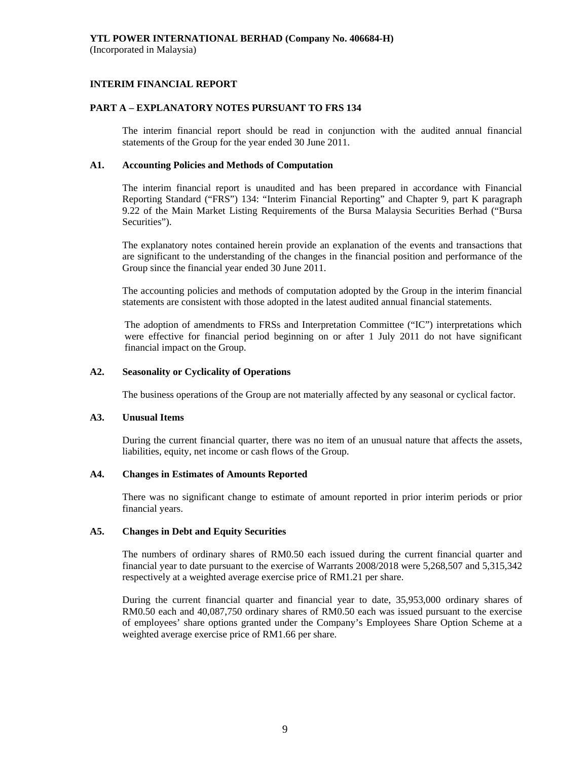# **INTERIM FINANCIAL REPORT**

# **PART A – EXPLANATORY NOTES PURSUANT TO FRS 134**

The interim financial report should be read in conjunction with the audited annual financial statements of the Group for the year ended 30 June 2011.

# **A1. Accounting Policies and Methods of Computation**

The interim financial report is unaudited and has been prepared in accordance with Financial Reporting Standard ("FRS") 134: "Interim Financial Reporting" and Chapter 9, part K paragraph 9.22 of the Main Market Listing Requirements of the Bursa Malaysia Securities Berhad ("Bursa Securities").

The explanatory notes contained herein provide an explanation of the events and transactions that are significant to the understanding of the changes in the financial position and performance of the Group since the financial year ended 30 June 2011.

The accounting policies and methods of computation adopted by the Group in the interim financial statements are consistent with those adopted in the latest audited annual financial statements.

The adoption of amendments to FRSs and Interpretation Committee ("IC") interpretations which were effective for financial period beginning on or after 1 July 2011 do not have significant financial impact on the Group.

# **A2. Seasonality or Cyclicality of Operations**

The business operations of the Group are not materially affected by any seasonal or cyclical factor.

# **A3. Unusual Items**

 During the current financial quarter, there was no item of an unusual nature that affects the assets, liabilities, equity, net income or cash flows of the Group.

# **A4. Changes in Estimates of Amounts Reported**

 There was no significant change to estimate of amount reported in prior interim periods or prior financial years.

# **A5. Changes in Debt and Equity Securities**

 The numbers of ordinary shares of RM0.50 each issued during the current financial quarter and financial year to date pursuant to the exercise of Warrants 2008/2018 were 5,268,507 and 5,315,342 respectively at a weighted average exercise price of RM1.21 per share.

 During the current financial quarter and financial year to date, 35,953,000 ordinary shares of RM0.50 each and 40,087,750 ordinary shares of RM0.50 each was issued pursuant to the exercise of employees' share options granted under the Company's Employees Share Option Scheme at a weighted average exercise price of RM1.66 per share.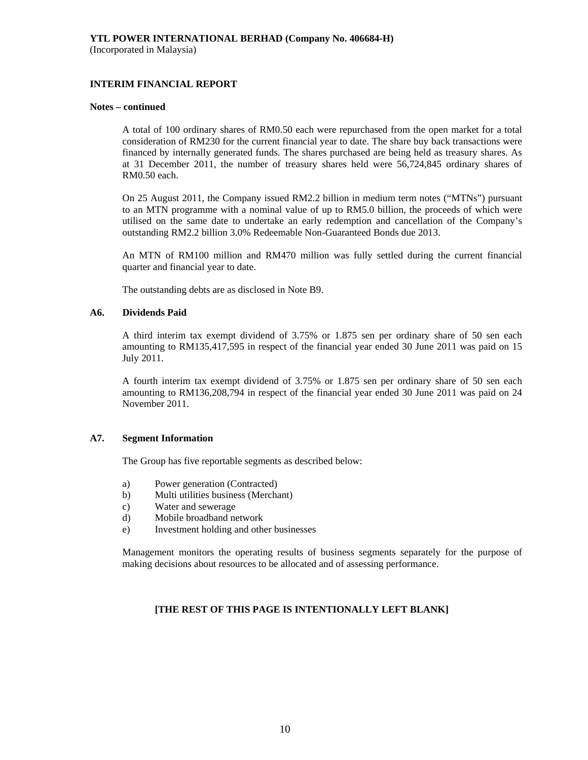# **INTERIM FINANCIAL REPORT**

#### **Notes – continued**

 A total of 100 ordinary shares of RM0.50 each were repurchased from the open market for a total consideration of RM230 for the current financial year to date. The share buy back transactions were financed by internally generated funds. The shares purchased are being held as treasury shares. As at 31 December 2011, the number of treasury shares held were 56,724,845 ordinary shares of RM0.50 each.

 On 25 August 2011, the Company issued RM2.2 billion in medium term notes ("MTNs") pursuant to an MTN programme with a nominal value of up to RM5.0 billion, the proceeds of which were utilised on the same date to undertake an early redemption and cancellation of the Company's outstanding RM2.2 billion 3.0% Redeemable Non-Guaranteed Bonds due 2013.

 An MTN of RM100 million and RM470 million was fully settled during the current financial quarter and financial year to date.

The outstanding debts are as disclosed in Note B9.

# **A6. Dividends Paid**

 A third interim tax exempt dividend of 3.75% or 1.875 sen per ordinary share of 50 sen each amounting to RM135,417,595 in respect of the financial year ended 30 June 2011 was paid on 15 July 2011.

 A fourth interim tax exempt dividend of 3.75% or 1.875 sen per ordinary share of 50 sen each amounting to RM136,208,794 in respect of the financial year ended 30 June 2011 was paid on 24 November 2011.

# **A7. Segment Information**

The Group has five reportable segments as described below:

- a) Power generation (Contracted)
- b) Multi utilities business (Merchant)
- c) Water and sewerage
- d) Mobile broadband network
- e) Investment holding and other businesses

 Management monitors the operating results of business segments separately for the purpose of making decisions about resources to be allocated and of assessing performance.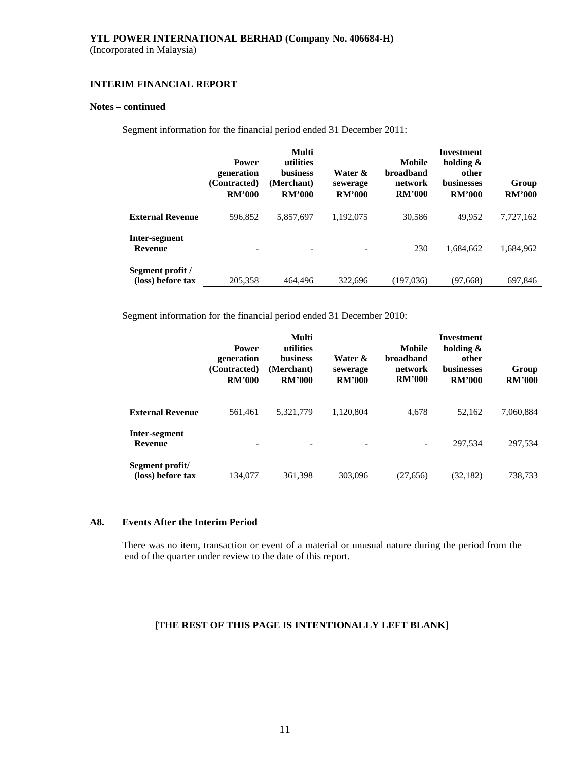# **INTERIM FINANCIAL REPORT**

# **Notes – continued**

Segment information for the financial period ended 31 December 2011:

|                                       | <b>Power</b><br>generation<br>(Contracted)<br><b>RM'000</b> | Multi<br>utilities<br><b>business</b><br>(Merchant)<br><b>RM'000</b> | Water &<br>sewerage<br><b>RM'000</b> | Mobile<br><b>broadband</b><br>network<br><b>RM'000</b> | Investment<br>holding $\&$<br>other<br><b>businesses</b><br><b>RM'000</b> | Group<br><b>RM'000</b> |
|---------------------------------------|-------------------------------------------------------------|----------------------------------------------------------------------|--------------------------------------|--------------------------------------------------------|---------------------------------------------------------------------------|------------------------|
| <b>External Revenue</b>               | 596.852                                                     | 5.857.697                                                            | 1,192,075                            | 30,586                                                 | 49.952                                                                    | 7,727,162              |
| Inter-segment<br><b>Revenue</b>       |                                                             | $\overline{\phantom{a}}$                                             |                                      | 230                                                    | 1.684.662                                                                 | 1,684,962              |
| Segment profit /<br>(loss) before tax | 205,358                                                     | 464,496                                                              | 322,696                              | (197.036)                                              | (97, 668)                                                                 | 697,846                |

Segment information for the financial period ended 31 December 2010:

|                                      | <b>Power</b><br>generation<br>(Contracted)<br><b>RM'000</b> | Multi<br>utilities<br><b>business</b><br>(Merchant)<br><b>RM'000</b> | Water &<br>sewerage<br><b>RM'000</b> | Mobile<br><b>broadband</b><br>network<br><b>RM'000</b> | Investment<br>holding $\&$<br>other<br><b>businesses</b><br><b>RM'000</b> | Group<br><b>RM'000</b> |
|--------------------------------------|-------------------------------------------------------------|----------------------------------------------------------------------|--------------------------------------|--------------------------------------------------------|---------------------------------------------------------------------------|------------------------|
| <b>External Revenue</b>              | 561,461                                                     | 5,321,779                                                            | 1,120,804                            | 4,678                                                  | 52,162                                                                    | 7,060,884              |
| Inter-segment<br><b>Revenue</b>      |                                                             |                                                                      |                                      | $\overline{\phantom{a}}$                               | 297.534                                                                   | 297.534                |
| Segment profit/<br>(loss) before tax | 134.077                                                     | 361,398                                                              | 303,096                              | (27, 656)                                              | (32, 182)                                                                 | 738,733                |

# **A8. Events After the Interim Period**

There was no item, transaction or event of a material or unusual nature during the period from the end of the quarter under review to the date of this report.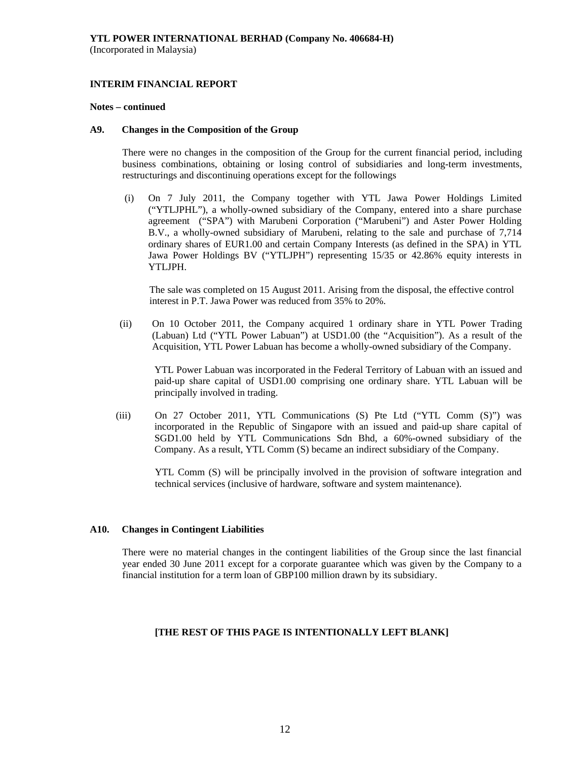# **INTERIM FINANCIAL REPORT**

#### **Notes – continued**

### **A9. Changes in the Composition of the Group**

 There were no changes in the composition of the Group for the current financial period, including business combinations, obtaining or losing control of subsidiaries and long-term investments, restructurings and discontinuing operations except for the followings

(i) On 7 July 2011, the Company together with YTL Jawa Power Holdings Limited ("YTLJPHL"), a wholly-owned subsidiary of the Company, entered into a share purchase agreement ("SPA") with Marubeni Corporation ("Marubeni") and Aster Power Holding B.V., a wholly-owned subsidiary of Marubeni, relating to the sale and purchase of 7,714 ordinary shares of EUR1.00 and certain Company Interests (as defined in the SPA) in YTL Jawa Power Holdings BV ("YTLJPH") representing 15/35 or 42.86% equity interests in YTLJPH.

 The sale was completed on 15 August 2011. Arising from the disposal, the effective control interest in P.T. Jawa Power was reduced from 35% to 20%.

(ii) On 10 October 2011, the Company acquired 1 ordinary share in YTL Power Trading (Labuan) Ltd ("YTL Power Labuan") at USD1.00 (the "Acquisition"). As a result of the Acquisition, YTL Power Labuan has become a wholly-owned subsidiary of the Company.

YTL Power Labuan was incorporated in the Federal Territory of Labuan with an issued and paid-up share capital of USD1.00 comprising one ordinary share. YTL Labuan will be principally involved in trading.

(iii) On 27 October 2011, YTL Communications (S) Pte Ltd ("YTL Comm (S)") was incorporated in the Republic of Singapore with an issued and paid-up share capital of SGD1.00 held by YTL Communications Sdn Bhd, a 60%-owned subsidiary of the Company. As a result, YTL Comm (S) became an indirect subsidiary of the Company.

YTL Comm (S) will be principally involved in the provision of software integration and technical services (inclusive of hardware, software and system maintenance).

# **A10. Changes in Contingent Liabilities**

There were no material changes in the contingent liabilities of the Group since the last financial year ended 30 June 2011 except for a corporate guarantee which was given by the Company to a financial institution for a term loan of GBP100 million drawn by its subsidiary.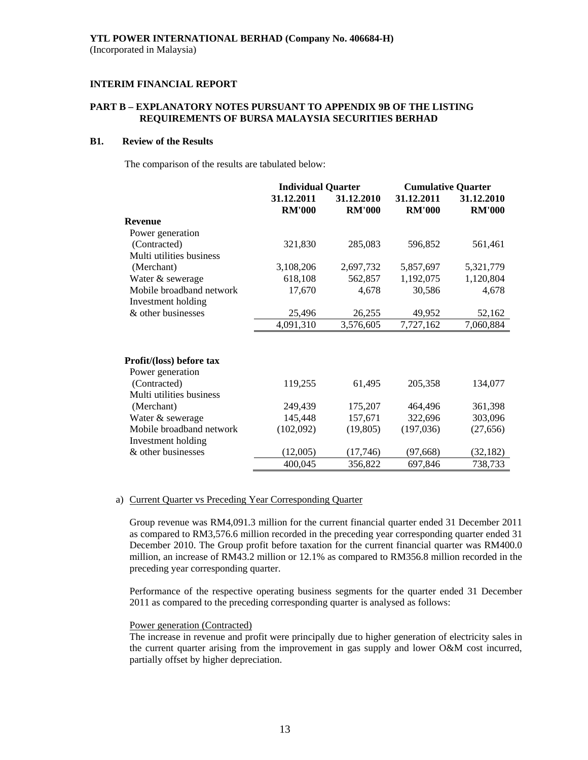# **PART B – EXPLANATORY NOTES PURSUANT TO APPENDIX 9B OF THE LISTING REQUIREMENTS OF BURSA MALAYSIA SECURITIES BERHAD**

# **B1. Review of the Results**

The comparison of the results are tabulated below:

|                          | <b>Individual Quarter</b> |               | <b>Cumulative Quarter</b> |               |
|--------------------------|---------------------------|---------------|---------------------------|---------------|
|                          | 31.12.2011                | 31.12.2010    | 31.12.2011                | 31.12.2010    |
|                          | <b>RM'000</b>             | <b>RM'000</b> | <b>RM'000</b>             | <b>RM'000</b> |
| <b>Revenue</b>           |                           |               |                           |               |
| Power generation         |                           |               |                           |               |
| (Contracted)             | 321,830                   | 285,083       | 596,852                   | 561,461       |
| Multi utilities business |                           |               |                           |               |
| (Merchant)               | 3,108,206                 | 2,697,732     | 5,857,697                 | 5,321,779     |
| Water & sewerage         | 618,108                   | 562,857       | 1,192,075                 | 1,120,804     |
| Mobile broadband network | 17,670                    | 4,678         | 30,586                    | 4,678         |
| Investment holding       |                           |               |                           |               |
| & other businesses       | 25,496                    | 26,255        | 49,952                    | 52,162        |
|                          | 4,091,310                 | 3,576,605     | 7,727,162                 | 7,060,884     |
| Profit/(loss) before tax |                           |               |                           |               |
| Power generation         |                           |               |                           |               |
| (Contracted)             | 119,255                   | 61,495        | 205,358                   | 134,077       |
| Multi utilities business |                           |               |                           |               |
| (Merchant)               | 249,439                   | 175,207       | 464,496                   | 361,398       |
| Water & sewerage         | 145,448                   | 157,671       | 322,696                   | 303,096       |
| Mobile broadband network | (102,092)                 | (19, 805)     | (197, 036)                | (27, 656)     |
| Investment holding       |                           |               |                           |               |
| & other businesses       | (12,005)                  | (17,746)      | (97, 668)                 | (32, 182)     |
|                          | 400,045                   | 356,822       | 697,846                   | 738,733       |

#### a) Current Quarter vs Preceding Year Corresponding Quarter

Group revenue was RM4,091.3 million for the current financial quarter ended 31 December 2011 as compared to RM3,576.6 million recorded in the preceding year corresponding quarter ended 31 December 2010. The Group profit before taxation for the current financial quarter was RM400.0 million, an increase of RM43.2 million or 12.1% as compared to RM356.8 million recorded in the preceding year corresponding quarter.

 Performance of the respective operating business segments for the quarter ended 31 December 2011 as compared to the preceding corresponding quarter is analysed as follows:

#### Power generation (Contracted)

The increase in revenue and profit were principally due to higher generation of electricity sales in the current quarter arising from the improvement in gas supply and lower O&M cost incurred, partially offset by higher depreciation.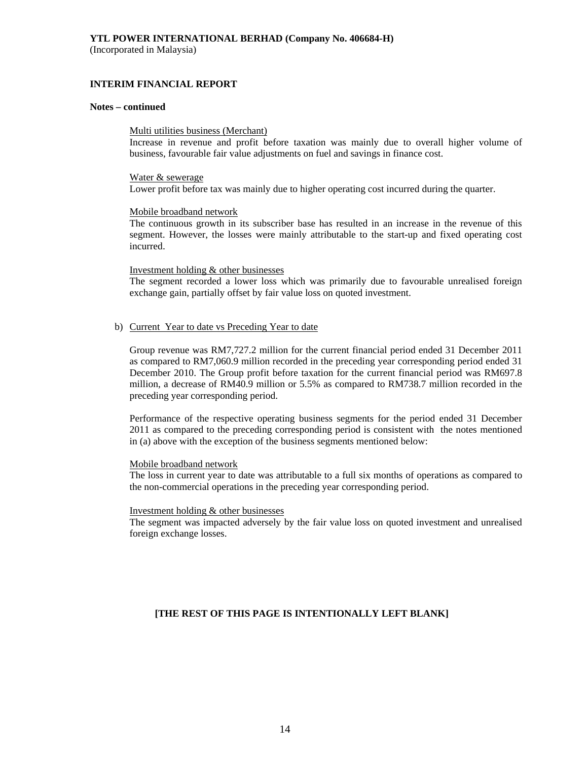(Incorporated in Malaysia)

# **INTERIM FINANCIAL REPORT**

#### **Notes – continued**

#### Multi utilities business (Merchant)

Increase in revenue and profit before taxation was mainly due to overall higher volume of business, favourable fair value adjustments on fuel and savings in finance cost.

#### Water & sewerage

Lower profit before tax was mainly due to higher operating cost incurred during the quarter.

#### Mobile broadband network

The continuous growth in its subscriber base has resulted in an increase in the revenue of this segment. However, the losses were mainly attributable to the start-up and fixed operating cost incurred.

#### Investment holding & other businesses

The segment recorded a lower loss which was primarily due to favourable unrealised foreign exchange gain, partially offset by fair value loss on quoted investment.

#### b) Current Year to date vs Preceding Year to date

Group revenue was RM7,727.2 million for the current financial period ended 31 December 2011 as compared to RM7,060.9 million recorded in the preceding year corresponding period ended 31 December 2010. The Group profit before taxation for the current financial period was RM697.8 million, a decrease of RM40.9 million or 5.5% as compared to RM738.7 million recorded in the preceding year corresponding period.

Performance of the respective operating business segments for the period ended 31 December 2011 as compared to the preceding corresponding period is consistent with the notes mentioned in (a) above with the exception of the business segments mentioned below:

#### Mobile broadband network

The loss in current year to date was attributable to a full six months of operations as compared to the non-commercial operations in the preceding year corresponding period.

#### Investment holding & other businesses

The segment was impacted adversely by the fair value loss on quoted investment and unrealised foreign exchange losses.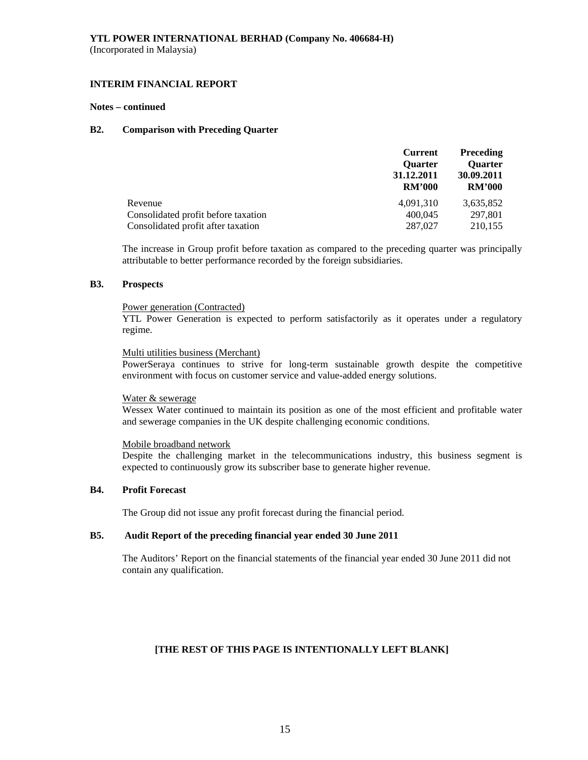# **INTERIM FINANCIAL REPORT**

#### **Notes – continued**

# **B2. Comparison with Preceding Quarter**

|                                     | <b>Current</b> | <b>Preceding</b> |
|-------------------------------------|----------------|------------------|
|                                     | <b>Ouarter</b> | <b>Ouarter</b>   |
|                                     | 31.12.2011     | 30.09.2011       |
|                                     | <b>RM'000</b>  | <b>RM'000</b>    |
| Revenue                             | 4.091.310      | 3,635,852        |
| Consolidated profit before taxation | 400,045        | 297,801          |
| Consolidated profit after taxation  | 287,027        | 210,155          |

The increase in Group profit before taxation as compared to the preceding quarter was principally attributable to better performance recorded by the foreign subsidiaries.

# **B3. Prospects**

#### Power generation (Contracted)

YTL Power Generation is expected to perform satisfactorily as it operates under a regulatory regime.

### Multi utilities business (Merchant)

PowerSeraya continues to strive for long-term sustainable growth despite the competitive environment with focus on customer service and value-added energy solutions.

# Water & sewerage

Wessex Water continued to maintain its position as one of the most efficient and profitable water and sewerage companies in the UK despite challenging economic conditions.

# Mobile broadband network

Despite the challenging market in the telecommunications industry, this business segment is expected to continuously grow its subscriber base to generate higher revenue.

# **B4. Profit Forecast**

The Group did not issue any profit forecast during the financial period.

# **B5. Audit Report of the preceding financial year ended 30 June 2011**

 The Auditors' Report on the financial statements of the financial year ended 30 June 2011 did not contain any qualification.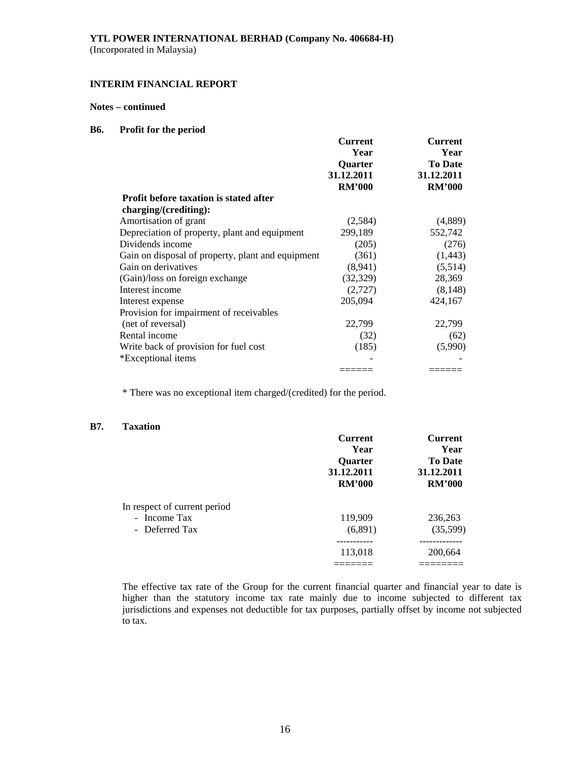(Incorporated in Malaysia)

# **INTERIM FINANCIAL REPORT**

# **Notes – continued**

# **B6. Profit for the period**

|                                                   | <b>Current</b>               | <b>Current</b>         |
|---------------------------------------------------|------------------------------|------------------------|
|                                                   | Year                         | Year<br><b>To Date</b> |
|                                                   | <b>Ouarter</b><br>31.12.2011 | 31.12.2011             |
|                                                   | <b>RM'000</b>                | <b>RM'000</b>          |
| <b>Profit before taxation is stated after</b>     |                              |                        |
| charging/(crediting):                             |                              |                        |
| Amortisation of grant                             | (2,584)                      | (4,889)                |
| Depreciation of property, plant and equipment     | 299,189                      | 552,742                |
| Dividends income                                  | (205)                        | (276)                  |
| Gain on disposal of property, plant and equipment | (361)                        | (1, 443)               |
| Gain on derivatives                               | (8,941)                      | (5,514)                |
| (Gain)/loss on foreign exchange                   | (32, 329)                    | 28,369                 |
| Interest income                                   | (2,727)                      | (8, 148)               |
| Interest expense                                  | 205,094                      | 424,167                |
| Provision for impairment of receivables           |                              |                        |
| (net of reversal)                                 | 22,799                       | 22,799                 |
| Rental income                                     | (32)                         | (62)                   |
| Write back of provision for fuel cost             | (185)                        | (5,990)                |
| *Exceptional items                                |                              |                        |
|                                                   |                              |                        |

\* There was no exceptional item charged/(credited) for the period.

# **B7. Taxation**

|                              | <b>Current</b> | <b>Current</b>               |
|------------------------------|----------------|------------------------------|
|                              | Year           | Year                         |
|                              | <b>Ouarter</b> | <b>To Date</b><br>31.12.2011 |
|                              | 31.12.2011     |                              |
|                              | <b>RM'000</b>  | <b>RM'000</b>                |
| In respect of current period |                |                              |
| - Income Tax                 | 119,909        | 236,263                      |
| - Deferred Tax               | (6,891)        | (35,599)                     |
|                              |                |                              |
|                              | 113,018        | 200,664                      |
|                              |                |                              |

The effective tax rate of the Group for the current financial quarter and financial year to date is higher than the statutory income tax rate mainly due to income subjected to different tax jurisdictions and expenses not deductible for tax purposes, partially offset by income not subjected to tax.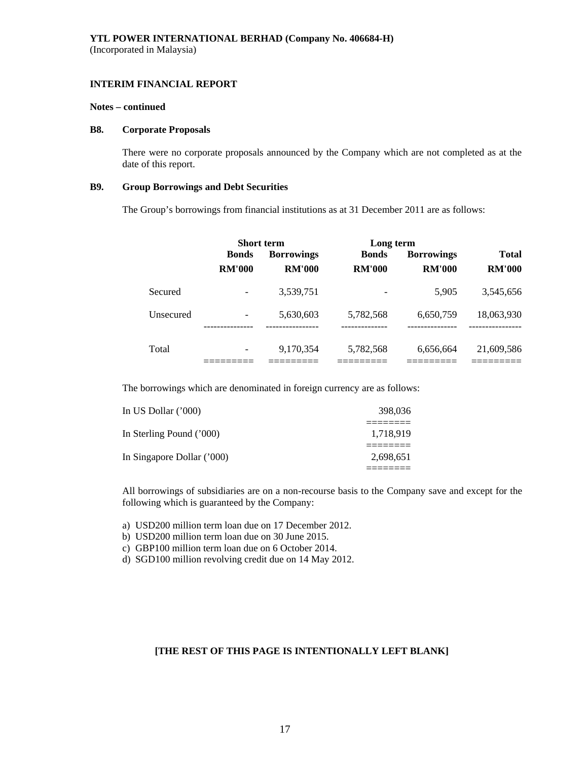#### **Notes – continued**

#### **B8. Corporate Proposals**

There were no corporate proposals announced by the Company which are not completed as at the date of this report.

# **B9. Group Borrowings and Debt Securities**

The Group's borrowings from financial institutions as at 31 December 2011 are as follows:

|           | <b>Short term</b> |                   | Long term             |                   |                         |
|-----------|-------------------|-------------------|-----------------------|-------------------|-------------------------|
|           | <b>Bonds</b>      | <b>Borrowings</b> | <b>Bonds</b>          | <b>Borrowings</b> | <b>Total</b>            |
|           | <b>RM'000</b>     | <b>RM'000</b>     | <b>RM'000</b>         | <b>RM'000</b>     | <b>RM'000</b>           |
| Secured   |                   | 3,539,751         |                       | 5.905             | 3,545,656               |
| Unsecured |                   | 5,630,603         | 5,782,568<br>-------- | 6,650,759         | 18,063,930<br>--------- |
| Total     |                   | 9,170,354         | 5,782,568             | 6,656,664         | 21,609,586              |

The borrowings which are denominated in foreign currency are as follows:

| In US Dollar $(000)$       | 398,036   |
|----------------------------|-----------|
| In Sterling Pound ('000)   | 1.718.919 |
|                            |           |
| In Singapore Dollar ('000) | 2,698,651 |

All borrowings of subsidiaries are on a non-recourse basis to the Company save and except for the following which is guaranteed by the Company:

a) USD200 million term loan due on 17 December 2012.

b) USD200 million term loan due on 30 June 2015.

c) GBP100 million term loan due on 6 October 2014.

d) SGD100 million revolving credit due on 14 May 2012.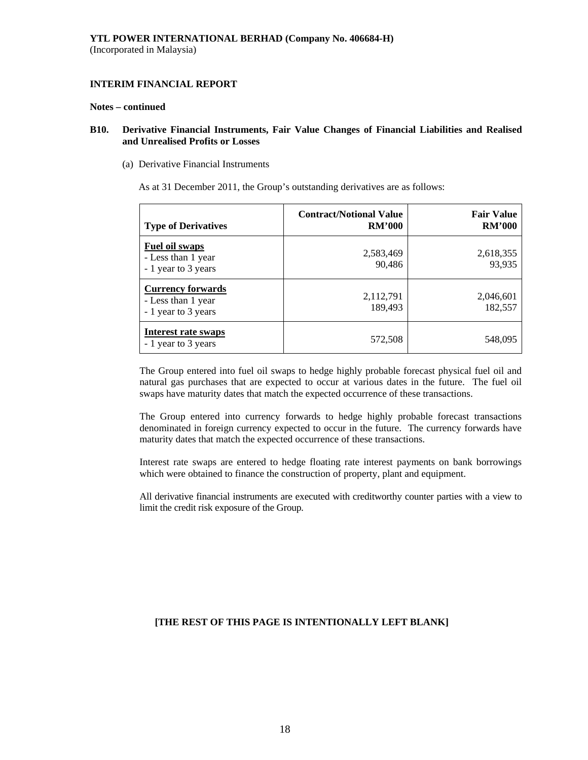#### **Notes – continued**

# **B10. Derivative Financial Instruments, Fair Value Changes of Financial Liabilities and Realised and Unrealised Profits or Losses**

(a) Derivative Financial Instruments

As at 31 December 2011, the Group's outstanding derivatives are as follows:

| <b>Type of Derivatives</b>                                            | <b>Contract/Notional Value</b><br><b>RM'000</b> | <b>Fair Value</b><br><b>RM'000</b> |
|-----------------------------------------------------------------------|-------------------------------------------------|------------------------------------|
| <b>Fuel oil swaps</b><br>- Less than 1 year<br>- 1 year to 3 years    | 2,583,469<br>90,486                             | 2,618,355<br>93,935                |
| <b>Currency forwards</b><br>- Less than 1 year<br>- 1 year to 3 years | 2,112,791<br>189,493                            | 2,046,601<br>182,557               |
| Interest rate swaps<br>- 1 year to 3 years                            | 572,508                                         | 548,095                            |

The Group entered into fuel oil swaps to hedge highly probable forecast physical fuel oil and natural gas purchases that are expected to occur at various dates in the future. The fuel oil swaps have maturity dates that match the expected occurrence of these transactions.

The Group entered into currency forwards to hedge highly probable forecast transactions denominated in foreign currency expected to occur in the future. The currency forwards have maturity dates that match the expected occurrence of these transactions.

Interest rate swaps are entered to hedge floating rate interest payments on bank borrowings which were obtained to finance the construction of property, plant and equipment.

All derivative financial instruments are executed with creditworthy counter parties with a view to limit the credit risk exposure of the Group.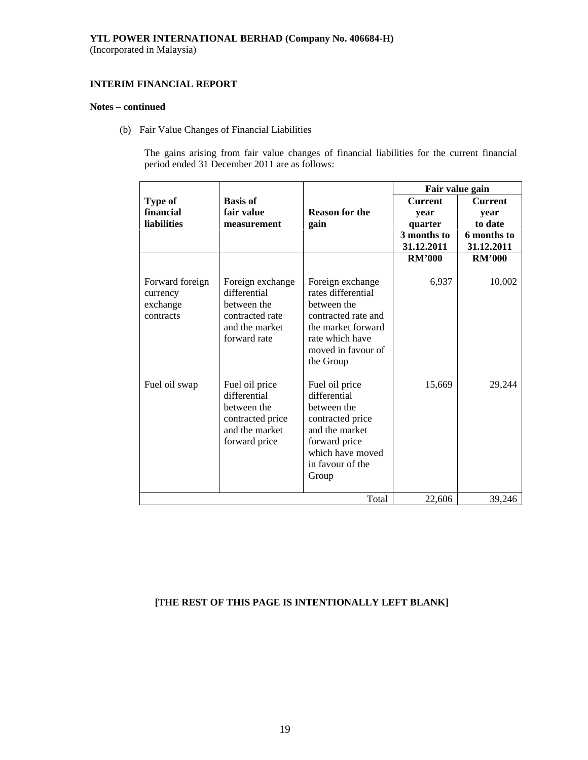# **INTERIM FINANCIAL REPORT**

# **Notes – continued**

(b) Fair Value Changes of Financial Liabilities

The gains arising from fair value changes of financial liabilities for the current financial period ended 31 December 2011 are as follows:

|                                                      |                                                                                                      |                                                                                                                                                          | Fair value gain                                                |                                                                |
|------------------------------------------------------|------------------------------------------------------------------------------------------------------|----------------------------------------------------------------------------------------------------------------------------------------------------------|----------------------------------------------------------------|----------------------------------------------------------------|
| Type of<br>financial<br><b>liabilities</b>           | <b>Basis of</b><br>fair value<br>measurement                                                         | <b>Reason for the</b><br>gain                                                                                                                            | <b>Current</b><br>year<br>quarter<br>3 months to<br>31.12.2011 | <b>Current</b><br>year<br>to date<br>6 months to<br>31.12.2011 |
|                                                      |                                                                                                      |                                                                                                                                                          | <b>RM'000</b>                                                  | <b>RM'000</b>                                                  |
| Forward foreign<br>currency<br>exchange<br>contracts | Foreign exchange<br>differential<br>between the<br>contracted rate<br>and the market<br>forward rate | Foreign exchange<br>rates differential<br>between the<br>contracted rate and<br>the market forward<br>rate which have<br>moved in favour of<br>the Group | 6,937                                                          | 10,002                                                         |
| Fuel oil swap                                        | Fuel oil price<br>differential<br>between the<br>contracted price<br>and the market<br>forward price | Fuel oil price<br>differential<br>between the<br>contracted price<br>and the market<br>forward price<br>which have moved<br>in favour of the<br>Group    | 15,669                                                         | 29,244                                                         |
|                                                      |                                                                                                      | Total                                                                                                                                                    | 22,606                                                         | 39,246                                                         |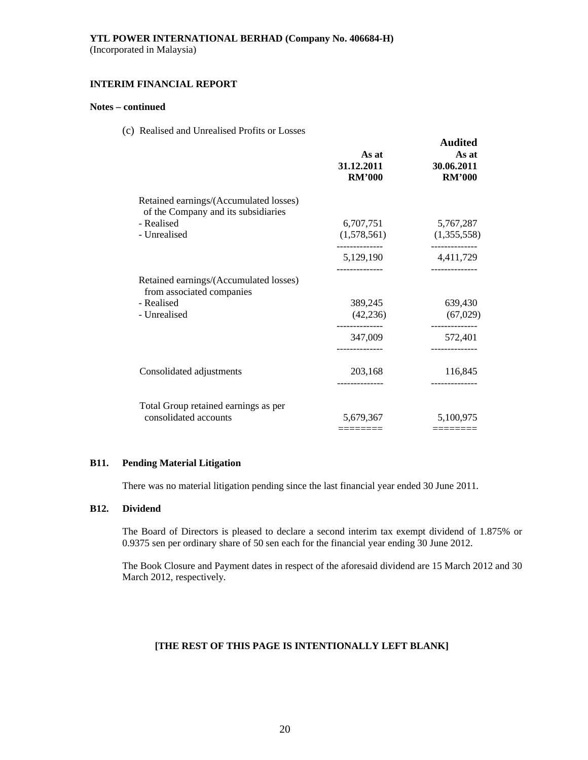# **INTERIM FINANCIAL REPORT**

# **Notes – continued**

(c) Realised and Unrealised Profits or Losses

|                                                                               | As at<br>31.12.2011<br><b>RM'000</b> | <b>Audited</b><br>As at<br>30.06.2011<br><b>RM'000</b> |
|-------------------------------------------------------------------------------|--------------------------------------|--------------------------------------------------------|
| Retained earnings/(Accumulated losses)<br>of the Company and its subsidiaries |                                      |                                                        |
| - Realised                                                                    | 6,707,751                            | 5,767,287                                              |
| - Unrealised                                                                  | (1,578,561)                          | (1,355,558)                                            |
|                                                                               | -------------<br>5,129,190           | ------------<br>4,411,729                              |
| Retained earnings/(Accumulated losses)<br>from associated companies           |                                      |                                                        |
| - Realised                                                                    | 389,245                              | 639,430                                                |
| - Unrealised                                                                  | (42, 236)                            | (67, 029)                                              |
|                                                                               | 347,009                              | ------------<br>572,401                                |
|                                                                               |                                      |                                                        |
| Consolidated adjustments                                                      | 203,168                              | 116,845                                                |
|                                                                               |                                      |                                                        |
| Total Group retained earnings as per                                          |                                      |                                                        |
| consolidated accounts                                                         | 5,679,367                            | 5,100,975                                              |
|                                                                               | =======                              |                                                        |

# **B11. Pending Material Litigation**

There was no material litigation pending since the last financial year ended 30 June 2011.

# **B12. Dividend**

The Board of Directors is pleased to declare a second interim tax exempt dividend of 1.875% or 0.9375 sen per ordinary share of 50 sen each for the financial year ending 30 June 2012.

 The Book Closure and Payment dates in respect of the aforesaid dividend are 15 March 2012 and 30 March 2012, respectively*.*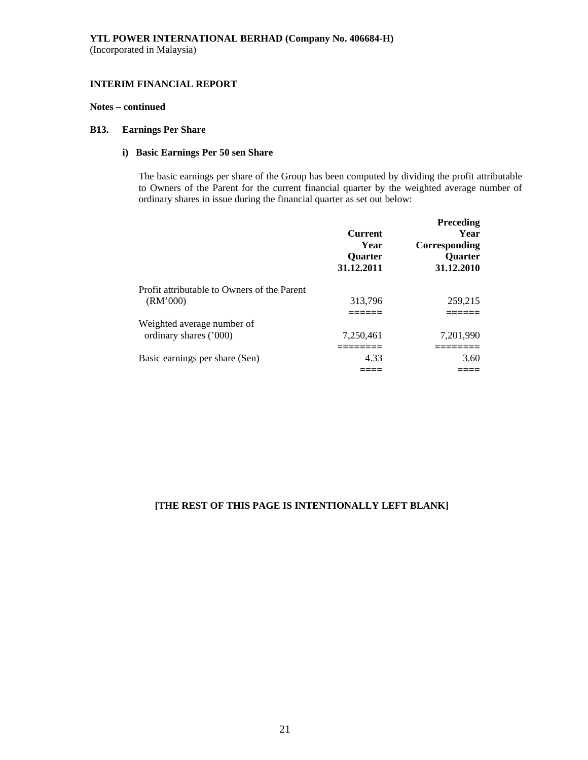# **INTERIM FINANCIAL REPORT**

# **Notes – continued**

# **B13. Earnings Per Share**

# **i) Basic Earnings Per 50 sen Share**

The basic earnings per share of the Group has been computed by dividing the profit attributable to Owners of the Parent for the current financial quarter by the weighted average number of ordinary shares in issue during the financial quarter as set out below:

|                                                         | <b>Current</b><br>Year<br>Quarter<br>31.12.2011 | Preceding<br>Year<br>Corresponding<br>Quarter<br>31.12.2010 |
|---------------------------------------------------------|-------------------------------------------------|-------------------------------------------------------------|
| Profit attributable to Owners of the Parent<br>(RM'000) | 313,796                                         | 259,215                                                     |
| Weighted average number of<br>ordinary shares ('000)    | 7.250.461                                       | 7,201,990                                                   |
| Basic earnings per share (Sen)                          | 4.33                                            | 3.60                                                        |
|                                                         |                                                 |                                                             |